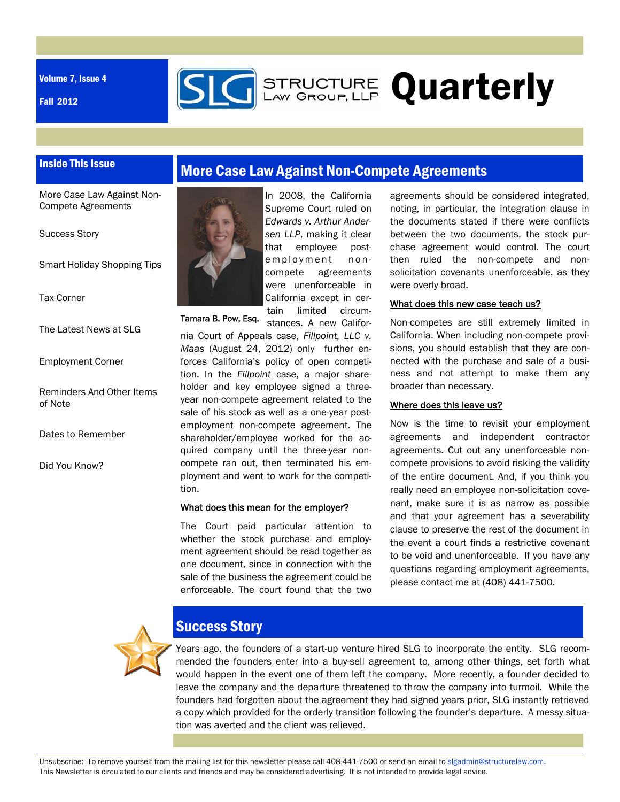Volume 7, Issue 4

Fall 2012



## Inside This Issue

More Case Law Against Non-Compete Agreements

Success Story

Smart Holiday Shopping Tips

Tax Corner

The Latest News at SLG

Employment Corner

Reminders And Other Items of Note

Dates to Remember

Did You Know?





In 2008, the California Supreme Court ruled on *Edwards v. Arthur Andersen LLP*, making it clear that employee postemployment noncompete agreements were unenforceable in California except in certain limited circum-

stances. A new Califor-

Tamara B. Pow, Esq.

nia Court of Appeals case, *Fillpoint, LLC v. Maas* (August 24, 2012) only further enforces California's policy of open competition. In the *Fillpoint* case, a major shareholder and key employee signed a threeyear non-compete agreement related to the sale of his stock as well as a one-year postemployment non-compete agreement. The shareholder/employee worked for the acquired company until the three-year noncompete ran out, then terminated his employment and went to work for the competition.

#### What does this mean for the employer?

The Court paid particular attention to whether the stock purchase and employment agreement should be read together as one document, since in connection with the sale of the business the agreement could be enforceable. The court found that the two

agreements should be considered integrated, noting, in particular, the integration clause in the documents stated if there were conflicts between the two documents, the stock purchase agreement would control. The court then ruled the non-compete and nonsolicitation covenants unenforceable, as they were overly broad.

#### What does this new case teach us?

Non-competes are still extremely limited in California. When including non-compete provisions, you should establish that they are connected with the purchase and sale of a business and not attempt to make them any broader than necessary.

#### Where does this leave us?

Now is the time to revisit your employment agreements and independent contractor agreements. Cut out any unenforceable noncompete provisions to avoid risking the validity of the entire document. And, if you think you really need an employee non-solicitation covenant, make sure it is as narrow as possible and that your agreement has a severability clause to preserve the rest of the document in the event a court finds a restrictive covenant to be void and unenforceable. If you have any questions regarding employment agreements, please contact me at (408) 441-7500.



## Success Story

Years ago, the founders of a start-up venture hired SLG to incorporate the entity. SLG recommended the founders enter into a buy-sell agreement to, among other things, set forth what would happen in the event one of them left the company. More recently, a founder decided to leave the company and the departure threatened to throw the company into turmoil. While the founders had forgotten about the agreement they had signed years prior, SLG instantly retrieved a copy which provided for the orderly transition following the founder's departure. A messy situation was averted and the client was relieved.

Unsubscribe: To remove yourself from the mailing list for this newsletter please call 408-441-7500 or send an email to slgadmin@structurelaw.com. This Newsletter is circulated to our clients and friends and may be considered advertising. It is not intended to provide legal advice.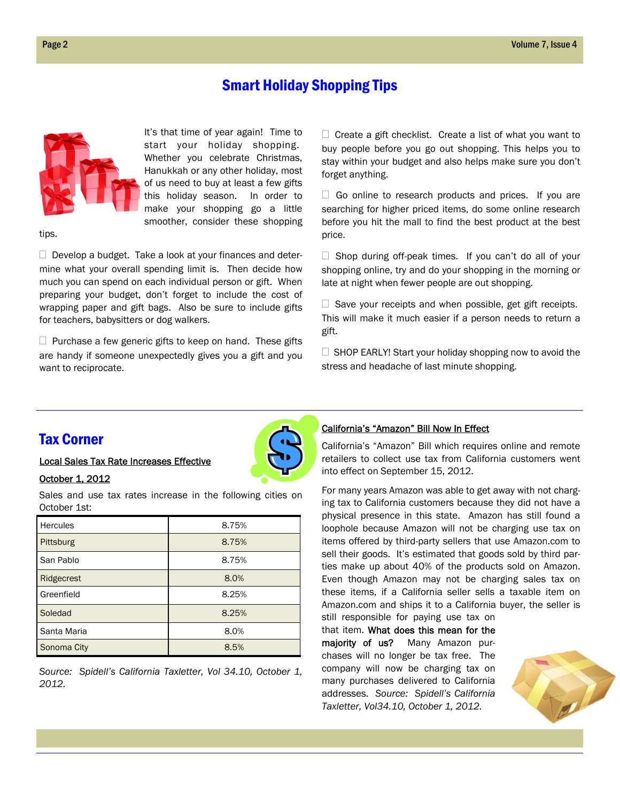## Smart Holiday Shopping Tips



It's that time of year again! Time to start your holiday shopping. Whether you celebrate Christmas, Hanukkah or any other holiday, most of us need to buy at least a few gifts this holiday season. In order to make your shopping go a little smoother, consider these shopping

tips.

 $\Box$  Develop a budget. Take a look at your finances and determine what your overall spending limit is. Then decide how much you can spend on each individual person or gift. When preparing your budget, don't forget to include the cost of wrapping paper and gift bags. Also be sure to include gifts for teachers, babysitters or dog walkers.

 $\Box$  Purchase a few generic gifts to keep on hand. These gifts are handy if someone unexpectedly gives you a gift and you want to reciprocate.

 $\Box$  Create a gift checklist. Create a list of what you want to buy people before you go out shopping. This helps you to stay within your budget and also helps make sure you don't forget anything.

 $\Box$  Go online to research products and prices. If you are searching for higher priced items, do some online research before you hit the mall to find the best product at the best price.

 $\Box$  Shop during off-peak times. If you can't do all of your shopping online, try and do your shopping in the morning or late at night when fewer people are out shopping.

 $\Box$  Save your receipts and when possible, get gift receipts. This will make it much easier if a person needs to return a gift.

 $\Box$  SHOP EARLY! Start your holiday shopping now to avoid the stress and headache of last minute shopping.

#### Tax Corner

Local Sales Tax Rate Increases Effective

#### October 1, 2012

Sales and use tax rates increase in the following cities on October 1st:

| <b>Hercules</b> | 8.75% |
|-----------------|-------|
| Pittsburg       | 8.75% |
| San Pablo       | 8.75% |
| Ridgecrest      | 8.0%  |
| Greenfield      | 8.25% |
| Soledad         | 8.25% |
| Santa Maria     | 8.0%  |
| Sonoma City     | 8.5%  |

*Source: Spidell's California Taxletter, Vol 34.10, October 1, 2012.* 

#### California's "Amazon" Bill Now In Effect

California's "Amazon" Bill which requires online and remote retailers to collect use tax from California customers went into effect on September 15, 2012.

For many years Amazon was able to get away with not charging tax to California customers because they did not have a physical presence in this state. Amazon has still found a loophole because Amazon will not be charging use tax on items offered by third-party sellers that use Amazon.com to sell their goods. It's estimated that goods sold by third parties make up about 40% of the products sold on Amazon. Even though Amazon may not be charging sales tax on these items, if a California seller sells a taxable item on Amazon.com and ships it to a California buyer, the seller is still responsible for paying use tax on

that item. What does this mean for the majority of us? Many Amazon purchases will no longer be tax free. The company will now be charging tax on many purchases delivered to California addresses. *Source: Spidell's California Taxletter, Vol34.10, October 1, 2012.* 



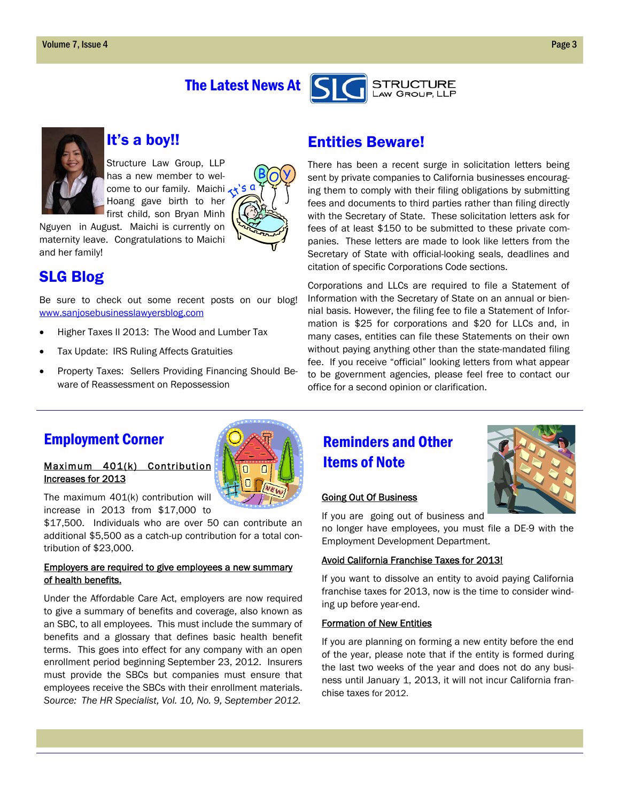## The Latest News At



## It's a boy!!

Structure Law Group, LLP has a new member to welcome to our family. Maichi Hoang gave birth to her first child, son Bryan Minh

Nguyen in August. Maichi is currently on maternity leave. Congratulations to Maichi and her family!

## SLG Blog

Be sure to check out some recent posts on our blog! www.sanjosebusinesslawyersblog.com

- Higher Taxes II 2013: The Wood and Lumber Tax
- Tax Update: IRS Ruling Affects Gratuities
- Property Taxes: Sellers Providing Financing Should Beware of Reassessment on Repossession

## Entities Beware!

There has been a recent surge in solicitation letters being sent by private companies to California businesses encouraging them to comply with their filing obligations by submitting fees and documents to third parties rather than filing directly with the Secretary of State. These solicitation letters ask for fees of at least \$150 to be submitted to these private companies. These letters are made to look like letters from the Secretary of State with official-looking seals, deadlines and citation of specific Corporations Code sections.

STRUCTURE<br>LAW GROUP, LLP

Corporations and LLCs are required to file a Statement of Information with the Secretary of State on an annual or biennial basis. However, the filing fee to file a Statement of Information is \$25 for corporations and \$20 for LLCs and, in many cases, entities can file these Statements on their own without paying anything other than the state-mandated filing fee. If you receive "official" looking letters from what appear to be government agencies, please feel free to contact our office for a second opinion or clarification.

## Employment Corner

#### Maximum 401(k) Contribution Increases for 2013



The maximum 401(k) contribution will increase in 2013 from \$17,000 to

\$17,500. Individuals who are over 50 can contribute an additional \$5,500 as a catch-up contribution for a total contribution of \$23,000.

#### Employers are required to give employees a new summary of health benefits.

Under the Affordable Care Act, employers are now required to give a summary of benefits and coverage, also known as an SBC, to all employees. This must include the summary of benefits and a glossary that defines basic health benefit terms. This goes into effect for any company with an open enrollment period beginning September 23, 2012. Insurers must provide the SBCs but companies must ensure that employees receive the SBCs with their enrollment materials. *Source: The HR Specialist, Vol. 10, No. 9, September 2012.*

## Reminders and Other Items of Note

#### Going Out Of Business



If you are going out of business and no longer have employees, you must file a DE-9 with the Employment Development Department.

#### Avoid California Franchise Taxes for 2013!

If you want to dissolve an entity to avoid paying California franchise taxes for 2013, now is the time to consider winding up before year-end.

#### Formation of New Entities

If you are planning on forming a new entity before the end of the year, please note that if the entity is formed during the last two weeks of the year and does not do any business until January 1, 2013, it will not incur California franchise taxes for 2012.